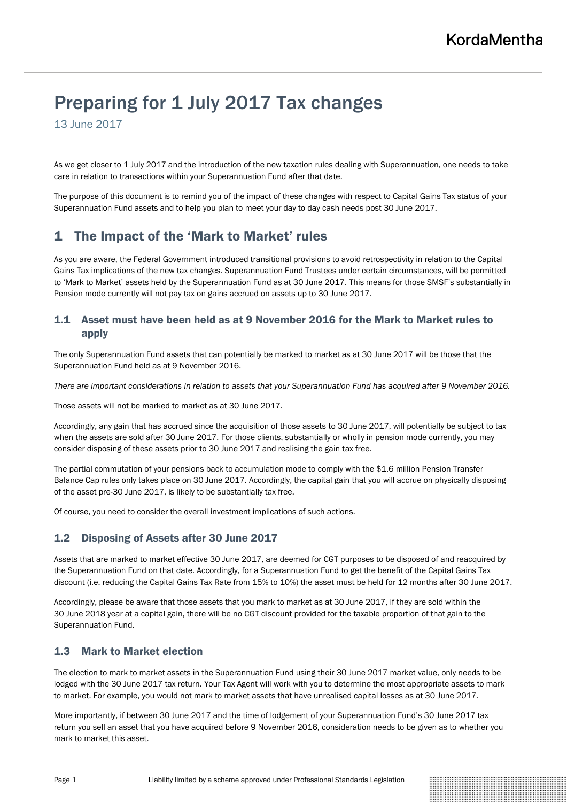# Preparing for 1 July 2017 Tax changes

13 June 2017

As we get closer to 1 July 2017 and the introduction of the new taxation rules dealing with Superannuation, one needs to take care in relation to transactions within your Superannuation Fund after that date.

The purpose of this document is to remind you of the impact of these changes with respect to Capital Gains Tax status of your Superannuation Fund assets and to help you plan to meet your day to day cash needs post 30 June 2017.

## 1 The Impact of the 'Mark to Market' rules

As you are aware, the Federal Government introduced transitional provisions to avoid retrospectivity in relation to the Capital Gains Tax implications of the new tax changes. Superannuation Fund Trustees under certain circumstances, will be permitted to 'Mark to Market' assets held by the Superannuation Fund as at 30 June 2017. This means for those SMSF's substantially in Pension mode currently will not pay tax on gains accrued on assets up to 30 June 2017.

### 1.1 Asset must have been held as at 9 November 2016 for the Mark to Market rules to apply

The only Superannuation Fund assets that can potentially be marked to market as at 30 June 2017 will be those that the Superannuation Fund held as at 9 November 2016.

*There are important considerations in relation to assets that your Superannuation Fund has acquired after 9 November 2016.*

Those assets will not be marked to market as at 30 June 2017.

Accordingly, any gain that has accrued since the acquisition of those assets to 30 June 2017, will potentially be subject to tax when the assets are sold after 30 June 2017. For those clients, substantially or wholly in pension mode currently, you may consider disposing of these assets prior to 30 June 2017 and realising the gain tax free.

The partial commutation of your pensions back to accumulation mode to comply with the \$1.6 million Pension Transfer Balance Cap rules only takes place on 30 June 2017. Accordingly, the capital gain that you will accrue on physically disposing of the asset pre-30 June 2017, is likely to be substantially tax free.

Of course, you need to consider the overall investment implications of such actions.

#### 1.2 Disposing of Assets after 30 June 2017

Assets that are marked to market effective 30 June 2017, are deemed for CGT purposes to be disposed of and reacquired by the Superannuation Fund on that date. Accordingly, for a Superannuation Fund to get the benefit of the Capital Gains Tax discount (i.e. reducing the Capital Gains Tax Rate from 15% to 10%) the asset must be held for 12 months after 30 June 2017.

Accordingly, please be aware that those assets that you mark to market as at 30 June 2017, if they are sold within the 30 June 2018 year at a capital gain, there will be no CGT discount provided for the taxable proportion of that gain to the Superannuation Fund.

#### 1.3 Mark to Market election

The election to mark to market assets in the Superannuation Fund using their 30 June 2017 market value, only needs to be lodged with the 30 June 2017 tax return. Your Tax Agent will work with you to determine the most appropriate assets to mark to market. For example, you would not mark to market assets that have unrealised capital losses as at 30 June 2017.

More importantly, if between 30 June 2017 and the time of lodgement of your Superannuation Fund's 30 June 2017 tax return you sell an asset that you have acquired before 9 November 2016, consideration needs to be given as to whether you mark to market this asset.